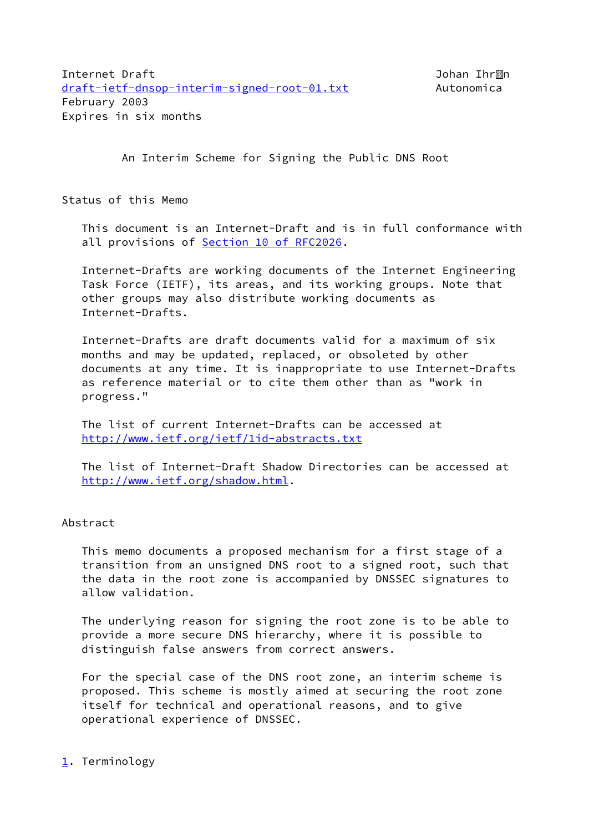An Interim Scheme for Signing the Public DNS Root

Status of this Memo

 This document is an Internet-Draft and is in full conformance with all provisions of Section [10 of RFC2026.](https://datatracker.ietf.org/doc/pdf/rfc2026#section-10)

 Internet-Drafts are working documents of the Internet Engineering Task Force (IETF), its areas, and its working groups. Note that other groups may also distribute working documents as Internet-Drafts.

 Internet-Drafts are draft documents valid for a maximum of six months and may be updated, replaced, or obsoleted by other documents at any time. It is inappropriate to use Internet-Drafts as reference material or to cite them other than as "work in progress."

 The list of current Internet-Drafts can be accessed at <http://www.ietf.org/ietf/1id-abstracts.txt>

 The list of Internet-Draft Shadow Directories can be accessed at <http://www.ietf.org/shadow.html>.

# Abstract

 This memo documents a proposed mechanism for a first stage of a transition from an unsigned DNS root to a signed root, such that the data in the root zone is accompanied by DNSSEC signatures to allow validation.

 The underlying reason for signing the root zone is to be able to provide a more secure DNS hierarchy, where it is possible to distinguish false answers from correct answers.

 For the special case of the DNS root zone, an interim scheme is proposed. This scheme is mostly aimed at securing the root zone itself for technical and operational reasons, and to give operational experience of DNSSEC.

# <span id="page-0-0"></span>[1](#page-0-0). Terminology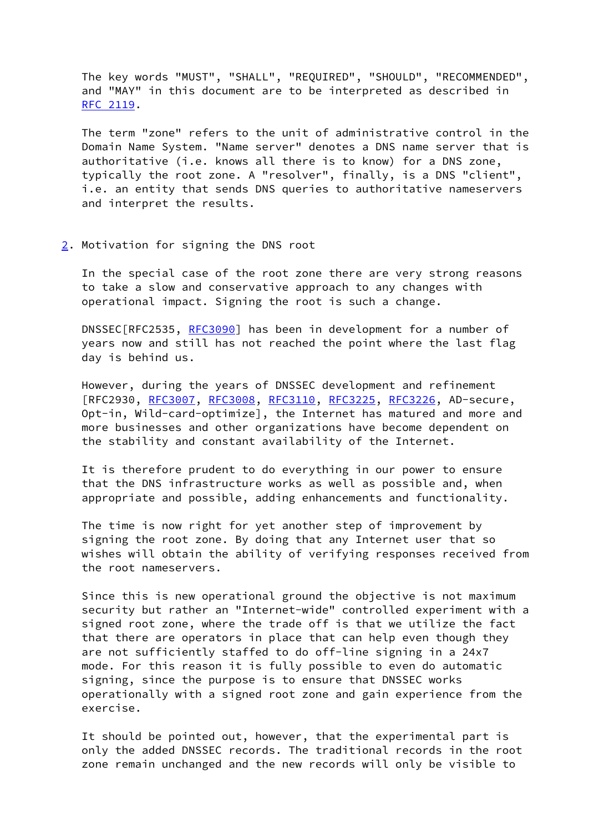The key words "MUST", "SHALL", "REQUIRED", "SHOULD", "RECOMMENDED", and "MAY" in this document are to be interpreted as described in [RFC 2119](https://datatracker.ietf.org/doc/pdf/rfc2119).

 The term "zone" refers to the unit of administrative control in the Domain Name System. "Name server" denotes a DNS name server that is authoritative (i.e. knows all there is to know) for a DNS zone, typically the root zone. A "resolver", finally, is a DNS "client", i.e. an entity that sends DNS queries to authoritative nameservers and interpret the results.

#### <span id="page-1-0"></span>[2](#page-1-0). Motivation for signing the DNS root

 In the special case of the root zone there are very strong reasons to take a slow and conservative approach to any changes with operational impact. Signing the root is such a change.

 DNSSEC[RFC2535, [RFC3090](https://datatracker.ietf.org/doc/pdf/rfc3090)] has been in development for a number of years now and still has not reached the point where the last flag day is behind us.

 However, during the years of DNSSEC development and refinement [RFC2930, [RFC3007](https://datatracker.ietf.org/doc/pdf/rfc3007), [RFC3008](https://datatracker.ietf.org/doc/pdf/rfc3008), [RFC3110,](https://datatracker.ietf.org/doc/pdf/rfc3110) [RFC3225](https://datatracker.ietf.org/doc/pdf/rfc3225), [RFC3226](https://datatracker.ietf.org/doc/pdf/rfc3226), AD-secure, Opt-in, Wild-card-optimize], the Internet has matured and more and more businesses and other organizations have become dependent on the stability and constant availability of the Internet.

 It is therefore prudent to do everything in our power to ensure that the DNS infrastructure works as well as possible and, when appropriate and possible, adding enhancements and functionality.

 The time is now right for yet another step of improvement by signing the root zone. By doing that any Internet user that so wishes will obtain the ability of verifying responses received from the root nameservers.

 Since this is new operational ground the objective is not maximum security but rather an "Internet-wide" controlled experiment with a signed root zone, where the trade off is that we utilize the fact that there are operators in place that can help even though they are not sufficiently staffed to do off-line signing in a 24x7 mode. For this reason it is fully possible to even do automatic signing, since the purpose is to ensure that DNSSEC works operationally with a signed root zone and gain experience from the exercise.

 It should be pointed out, however, that the experimental part is only the added DNSSEC records. The traditional records in the root zone remain unchanged and the new records will only be visible to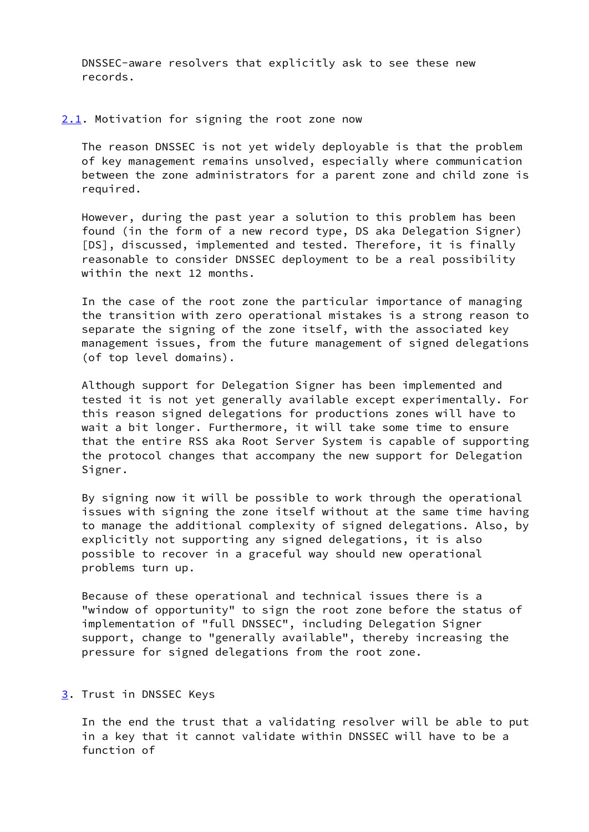DNSSEC-aware resolvers that explicitly ask to see these new records.

<span id="page-2-0"></span>[2.1](#page-2-0). Motivation for signing the root zone now

 The reason DNSSEC is not yet widely deployable is that the problem of key management remains unsolved, especially where communication between the zone administrators for a parent zone and child zone is required.

 However, during the past year a solution to this problem has been found (in the form of a new record type, DS aka Delegation Signer) [DS], discussed, implemented and tested. Therefore, it is finally reasonable to consider DNSSEC deployment to be a real possibility within the next 12 months.

 In the case of the root zone the particular importance of managing the transition with zero operational mistakes is a strong reason to separate the signing of the zone itself, with the associated key management issues, from the future management of signed delegations (of top level domains).

 Although support for Delegation Signer has been implemented and tested it is not yet generally available except experimentally. For this reason signed delegations for productions zones will have to wait a bit longer. Furthermore, it will take some time to ensure that the entire RSS aka Root Server System is capable of supporting the protocol changes that accompany the new support for Delegation Signer.

 By signing now it will be possible to work through the operational issues with signing the zone itself without at the same time having to manage the additional complexity of signed delegations. Also, by explicitly not supporting any signed delegations, it is also possible to recover in a graceful way should new operational problems turn up.

 Because of these operational and technical issues there is a "window of opportunity" to sign the root zone before the status of implementation of "full DNSSEC", including Delegation Signer support, change to "generally available", thereby increasing the pressure for signed delegations from the root zone.

### <span id="page-2-1"></span>[3](#page-2-1). Trust in DNSSEC Keys

 In the end the trust that a validating resolver will be able to put in a key that it cannot validate within DNSSEC will have to be a function of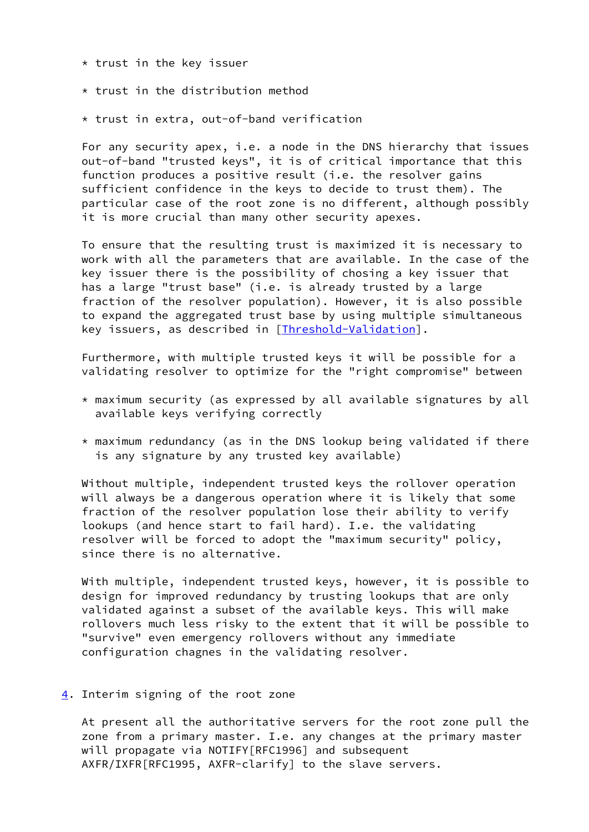- \* trust in the key issuer
- \* trust in the distribution method
- \* trust in extra, out-of-band verification

 For any security apex, i.e. a node in the DNS hierarchy that issues out-of-band "trusted keys", it is of critical importance that this function produces a positive result (i.e. the resolver gains sufficient confidence in the keys to decide to trust them). The particular case of the root zone is no different, although possibly it is more crucial than many other security apexes.

 To ensure that the resulting trust is maximized it is necessary to work with all the parameters that are available. In the case of the key issuer there is the possibility of chosing a key issuer that has a large "trust base" (i.e. is already trusted by a large fraction of the resolver population). However, it is also possible to expand the aggregated trust base by using multiple simultaneous key issuers, as described in [\[Threshold-Validation](#page-14-0)].

 Furthermore, with multiple trusted keys it will be possible for a validating resolver to optimize for the "right compromise" between

- \* maximum security (as expressed by all available signatures by all available keys verifying correctly
- \* maximum redundancy (as in the DNS lookup being validated if there is any signature by any trusted key available)

 Without multiple, independent trusted keys the rollover operation will always be a dangerous operation where it is likely that some fraction of the resolver population lose their ability to verify lookups (and hence start to fail hard). I.e. the validating resolver will be forced to adopt the "maximum security" policy, since there is no alternative.

 With multiple, independent trusted keys, however, it is possible to design for improved redundancy by trusting lookups that are only validated against a subset of the available keys. This will make rollovers much less risky to the extent that it will be possible to "survive" even emergency rollovers without any immediate configuration chagnes in the validating resolver.

## <span id="page-3-0"></span>[4](#page-3-0). Interim signing of the root zone

 At present all the authoritative servers for the root zone pull the zone from a primary master. I.e. any changes at the primary master will propagate via NOTIFY[RFC1996] and subsequent AXFR/IXFR[RFC1995, AXFR-clarify] to the slave servers.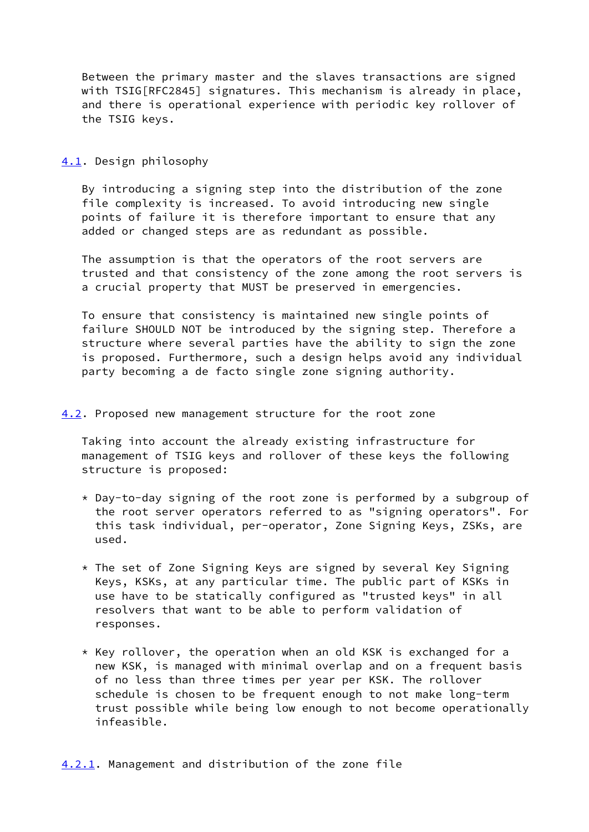Between the primary master and the slaves transactions are signed with TSIG[RFC2845] signatures. This mechanism is already in place, and there is operational experience with periodic key rollover of the TSIG keys.

#### <span id="page-4-0"></span>[4.1](#page-4-0). Design philosophy

 By introducing a signing step into the distribution of the zone file complexity is increased. To avoid introducing new single points of failure it is therefore important to ensure that any added or changed steps are as redundant as possible.

 The assumption is that the operators of the root servers are trusted and that consistency of the zone among the root servers is a crucial property that MUST be preserved in emergencies.

 To ensure that consistency is maintained new single points of failure SHOULD NOT be introduced by the signing step. Therefore a structure where several parties have the ability to sign the zone is proposed. Furthermore, such a design helps avoid any individual party becoming a de facto single zone signing authority.

### <span id="page-4-1"></span>[4.2](#page-4-1). Proposed new management structure for the root zone

 Taking into account the already existing infrastructure for management of TSIG keys and rollover of these keys the following structure is proposed:

- \* Day-to-day signing of the root zone is performed by a subgroup of the root server operators referred to as "signing operators". For this task individual, per-operator, Zone Signing Keys, ZSKs, are used.
- \* The set of Zone Signing Keys are signed by several Key Signing Keys, KSKs, at any particular time. The public part of KSKs in use have to be statically configured as "trusted keys" in all resolvers that want to be able to perform validation of responses.
- <span id="page-4-2"></span> $*$  Key rollover, the operation when an old KSK is exchanged for a new KSK, is managed with minimal overlap and on a frequent basis of no less than three times per year per KSK. The rollover schedule is chosen to be frequent enough to not make long-term trust possible while being low enough to not become operationally infeasible.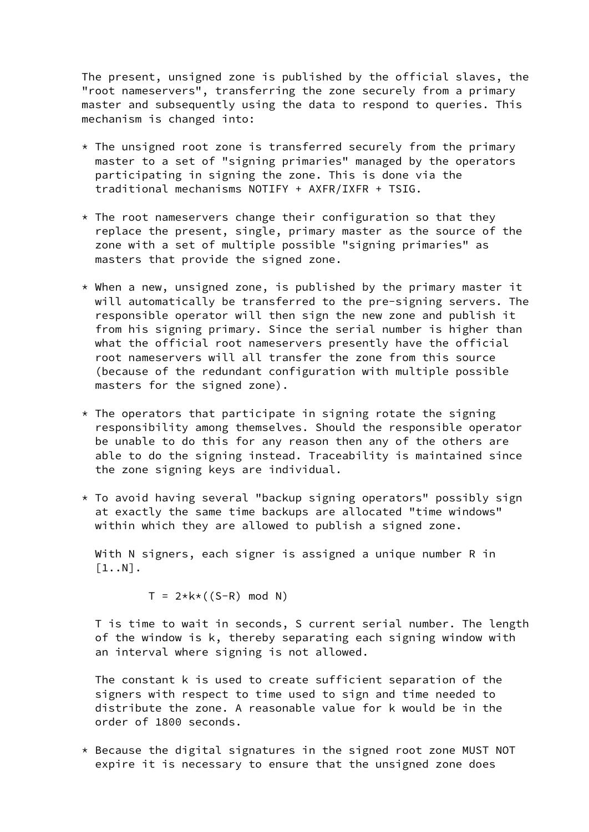The present, unsigned zone is published by the official slaves, the "root nameservers", transferring the zone securely from a primary master and subsequently using the data to respond to queries. This mechanism is changed into:

- $*$  The unsigned root zone is transferred securely from the primary master to a set of "signing primaries" managed by the operators participating in signing the zone. This is done via the traditional mechanisms NOTIFY + AXFR/IXFR + TSIG.
- $*$  The root nameservers change their configuration so that they replace the present, single, primary master as the source of the zone with a set of multiple possible "signing primaries" as masters that provide the signed zone.
- \* When a new, unsigned zone, is published by the primary master it will automatically be transferred to the pre-signing servers. The responsible operator will then sign the new zone and publish it from his signing primary. Since the serial number is higher than what the official root nameservers presently have the official root nameservers will all transfer the zone from this source (because of the redundant configuration with multiple possible masters for the signed zone).
- $*$  The operators that participate in signing rotate the signing responsibility among themselves. Should the responsible operator be unable to do this for any reason then any of the others are able to do the signing instead. Traceability is maintained since the zone signing keys are individual.
- \* To avoid having several "backup signing operators" possibly sign at exactly the same time backups are allocated "time windows" within which they are allowed to publish a signed zone.

With N signers, each signer is assigned a unique number R in  $\lceil1..N\rceil$ .

 $T = 2*k * ((S-R) \mod N)$ 

 T is time to wait in seconds, S current serial number. The length of the window is k, thereby separating each signing window with an interval where signing is not allowed.

 The constant k is used to create sufficient separation of the signers with respect to time used to sign and time needed to distribute the zone. A reasonable value for k would be in the order of 1800 seconds.

 \* Because the digital signatures in the signed root zone MUST NOT expire it is necessary to ensure that the unsigned zone does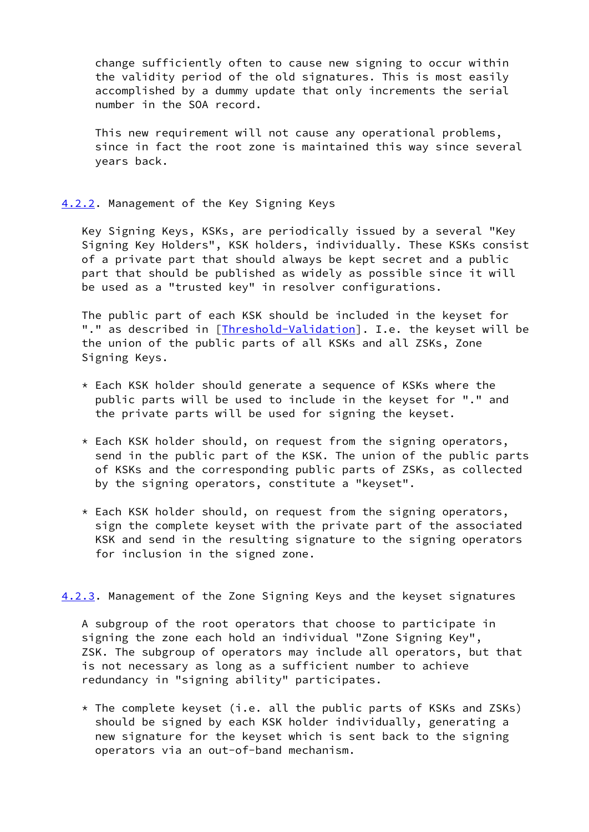change sufficiently often to cause new signing to occur within the validity period of the old signatures. This is most easily accomplished by a dummy update that only increments the serial number in the SOA record.

 This new requirement will not cause any operational problems, since in fact the root zone is maintained this way since several years back.

## <span id="page-6-0"></span>[4.2.2](#page-6-0). Management of the Key Signing Keys

 Key Signing Keys, KSKs, are periodically issued by a several "Key Signing Key Holders", KSK holders, individually. These KSKs consist of a private part that should always be kept secret and a public part that should be published as widely as possible since it will be used as a "trusted key" in resolver configurations.

 The public part of each KSK should be included in the keyset for "." as described in [\[Threshold-Validation](#page-14-0)]. I.e. the keyset will be the union of the public parts of all KSKs and all ZSKs, Zone Signing Keys.

- \* Each KSK holder should generate a sequence of KSKs where the public parts will be used to include in the keyset for "." and the private parts will be used for signing the keyset.
- \* Each KSK holder should, on request from the signing operators, send in the public part of the KSK. The union of the public parts of KSKs and the corresponding public parts of ZSKs, as collected by the signing operators, constitute a "keyset".
- \* Each KSK holder should, on request from the signing operators, sign the complete keyset with the private part of the associated KSK and send in the resulting signature to the signing operators for inclusion in the signed zone.

<span id="page-6-1"></span>[4.2.3](#page-6-1). Management of the Zone Signing Keys and the keyset signatures

 A subgroup of the root operators that choose to participate in signing the zone each hold an individual "Zone Signing Key", ZSK. The subgroup of operators may include all operators, but that is not necessary as long as a sufficient number to achieve redundancy in "signing ability" participates.

 $*$  The complete keyset (i.e. all the public parts of KSKs and ZSKs) should be signed by each KSK holder individually, generating a new signature for the keyset which is sent back to the signing operators via an out-of-band mechanism.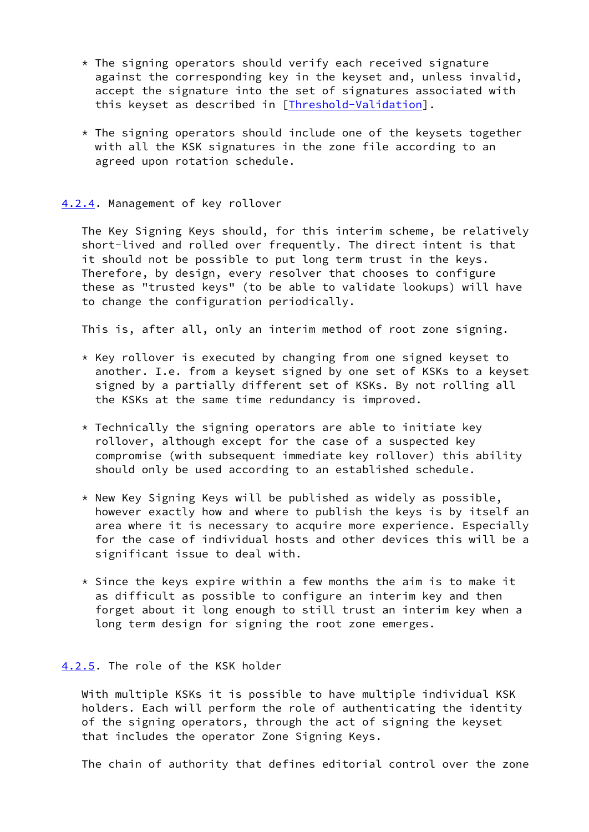- $*$  The signing operators should verify each received signature against the corresponding key in the keyset and, unless invalid, accept the signature into the set of signatures associated with this keyset as described in [[Threshold-Validation\]](#page-14-0).
- $*$  The signing operators should include one of the keysets together with all the KSK signatures in the zone file according to an agreed upon rotation schedule.

### <span id="page-7-0"></span>[4.2.4](#page-7-0). Management of key rollover

 The Key Signing Keys should, for this interim scheme, be relatively short-lived and rolled over frequently. The direct intent is that it should not be possible to put long term trust in the keys. Therefore, by design, every resolver that chooses to configure these as "trusted keys" (to be able to validate lookups) will have to change the configuration periodically.

This is, after all, only an interim method of root zone signing.

- \* Key rollover is executed by changing from one signed keyset to another. I.e. from a keyset signed by one set of KSKs to a keyset signed by a partially different set of KSKs. By not rolling all the KSKs at the same time redundancy is improved.
- $*$  Technically the signing operators are able to initiate key rollover, although except for the case of a suspected key compromise (with subsequent immediate key rollover) this ability should only be used according to an established schedule.
- \* New Key Signing Keys will be published as widely as possible, however exactly how and where to publish the keys is by itself an area where it is necessary to acquire more experience. Especially for the case of individual hosts and other devices this will be a significant issue to deal with.
- $*$  Since the keys expire within a few months the aim is to make it as difficult as possible to configure an interim key and then forget about it long enough to still trust an interim key when a long term design for signing the root zone emerges.

## <span id="page-7-1"></span>[4.2.5](#page-7-1). The role of the KSK holder

 With multiple KSKs it is possible to have multiple individual KSK holders. Each will perform the role of authenticating the identity of the signing operators, through the act of signing the keyset that includes the operator Zone Signing Keys.

The chain of authority that defines editorial control over the zone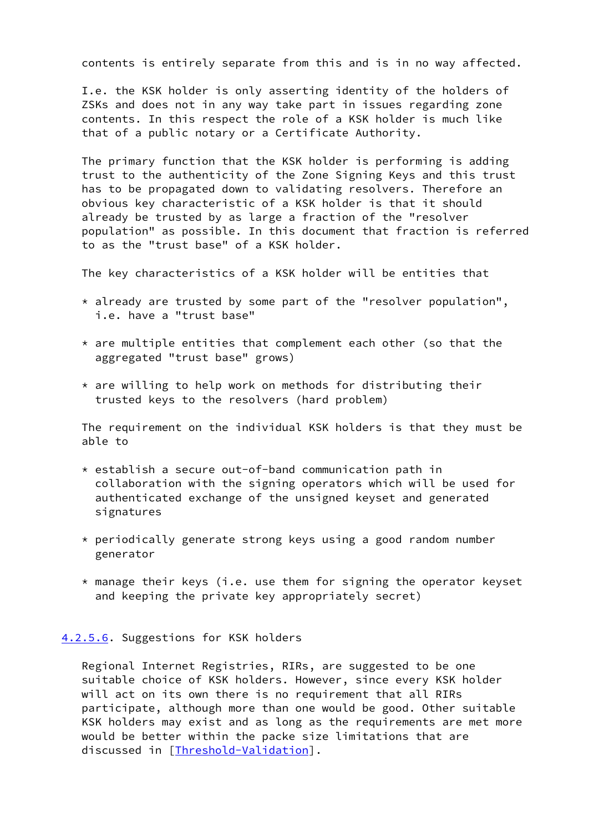contents is entirely separate from this and is in no way affected.

 I.e. the KSK holder is only asserting identity of the holders of ZSKs and does not in any way take part in issues regarding zone contents. In this respect the role of a KSK holder is much like that of a public notary or a Certificate Authority.

 The primary function that the KSK holder is performing is adding trust to the authenticity of the Zone Signing Keys and this trust has to be propagated down to validating resolvers. Therefore an obvious key characteristic of a KSK holder is that it should already be trusted by as large a fraction of the "resolver population" as possible. In this document that fraction is referred to as the "trust base" of a KSK holder.

The key characteristics of a KSK holder will be entities that

- \* already are trusted by some part of the "resolver population", i.e. have a "trust base"
- $*$  are multiple entities that complement each other (so that the aggregated "trust base" grows)
- $*$  are willing to help work on methods for distributing their trusted keys to the resolvers (hard problem)

 The requirement on the individual KSK holders is that they must be able to

- $*$  establish a secure out-of-band communication path in collaboration with the signing operators which will be used for authenticated exchange of the unsigned keyset and generated signatures
- \* periodically generate strong keys using a good random number generator
- \* manage their keys (i.e. use them for signing the operator keyset and keeping the private key appropriately secret)

#### <span id="page-8-0"></span>[4.2.5.6](#page-8-0). Suggestions for KSK holders

 Regional Internet Registries, RIRs, are suggested to be one suitable choice of KSK holders. However, since every KSK holder will act on its own there is no requirement that all RIRs participate, although more than one would be good. Other suitable KSK holders may exist and as long as the requirements are met more would be better within the packe size limitations that are discussed in [\[Threshold-Validation](#page-14-0)].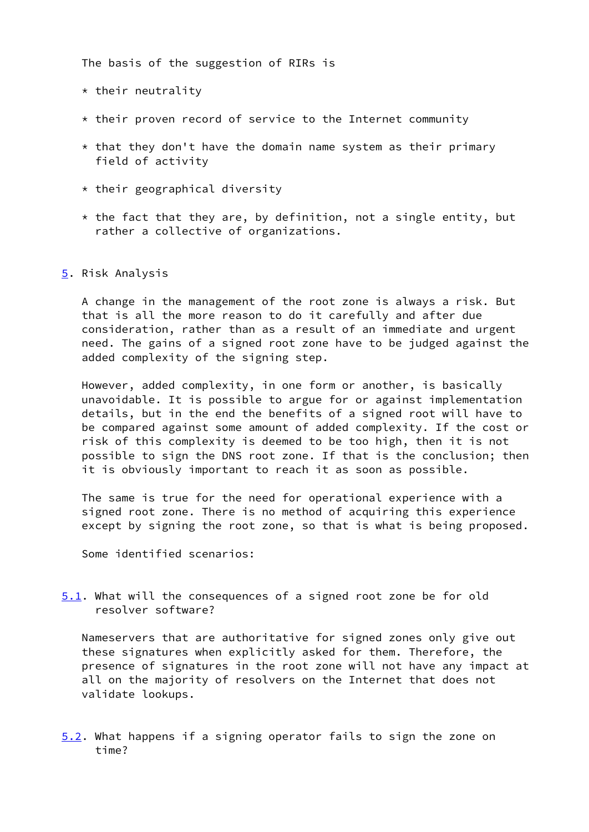The basis of the suggestion of RIRs is

- $*$  their neutrality
- \* their proven record of service to the Internet community
- $*$  that they don't have the domain name system as their primary field of activity
- $*$  their geographical diversity
- $*$  the fact that they are, by definition, not a single entity, but rather a collective of organizations.
- <span id="page-9-0"></span>[5](#page-9-0). Risk Analysis

 A change in the management of the root zone is always a risk. But that is all the more reason to do it carefully and after due consideration, rather than as a result of an immediate and urgent need. The gains of a signed root zone have to be judged against the added complexity of the signing step.

 However, added complexity, in one form or another, is basically unavoidable. It is possible to argue for or against implementation details, but in the end the benefits of a signed root will have to be compared against some amount of added complexity. If the cost or risk of this complexity is deemed to be too high, then it is not possible to sign the DNS root zone. If that is the conclusion; then it is obviously important to reach it as soon as possible.

 The same is true for the need for operational experience with a signed root zone. There is no method of acquiring this experience except by signing the root zone, so that is what is being proposed.

Some identified scenarios:

<span id="page-9-1"></span>[5.1](#page-9-1). What will the consequences of a signed root zone be for old resolver software?

 Nameservers that are authoritative for signed zones only give out these signatures when explicitly asked for them. Therefore, the presence of signatures in the root zone will not have any impact at all on the majority of resolvers on the Internet that does not validate lookups.

<span id="page-9-2"></span>[5.2](#page-9-2). What happens if a signing operator fails to sign the zone on time?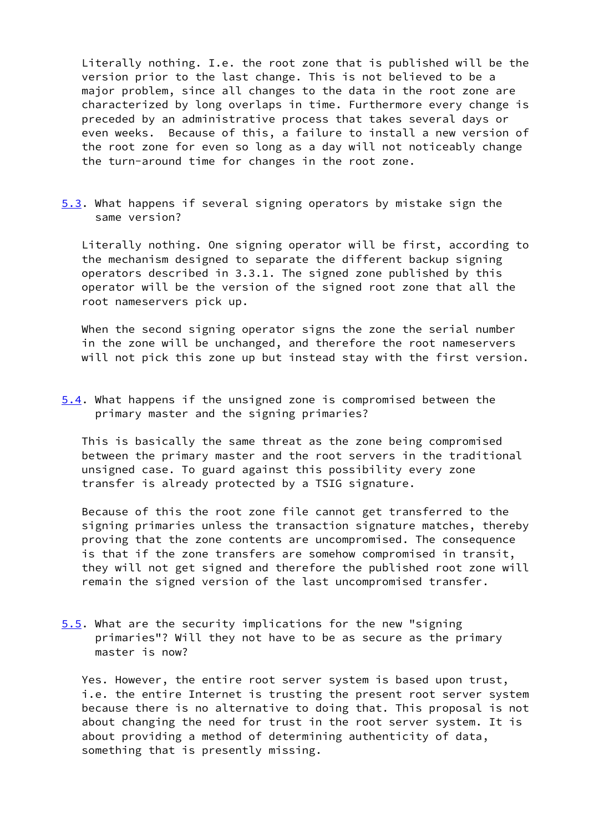Literally nothing. I.e. the root zone that is published will be the version prior to the last change. This is not believed to be a major problem, since all changes to the data in the root zone are characterized by long overlaps in time. Furthermore every change is preceded by an administrative process that takes several days or even weeks. Because of this, a failure to install a new version of the root zone for even so long as a day will not noticeably change the turn-around time for changes in the root zone.

<span id="page-10-0"></span>[5.3](#page-10-0). What happens if several signing operators by mistake sign the same version?

 Literally nothing. One signing operator will be first, according to the mechanism designed to separate the different backup signing operators described in 3.3.1. The signed zone published by this operator will be the version of the signed root zone that all the root nameservers pick up.

 When the second signing operator signs the zone the serial number in the zone will be unchanged, and therefore the root nameservers will not pick this zone up but instead stay with the first version.

<span id="page-10-1"></span>[5.4](#page-10-1). What happens if the unsigned zone is compromised between the primary master and the signing primaries?

 This is basically the same threat as the zone being compromised between the primary master and the root servers in the traditional unsigned case. To guard against this possibility every zone transfer is already protected by a TSIG signature.

 Because of this the root zone file cannot get transferred to the signing primaries unless the transaction signature matches, thereby proving that the zone contents are uncompromised. The consequence is that if the zone transfers are somehow compromised in transit, they will not get signed and therefore the published root zone will remain the signed version of the last uncompromised transfer.

<span id="page-10-2"></span>[5.5](#page-10-2). What are the security implications for the new "signing primaries"? Will they not have to be as secure as the primary master is now?

 Yes. However, the entire root server system is based upon trust, i.e. the entire Internet is trusting the present root server system because there is no alternative to doing that. This proposal is not about changing the need for trust in the root server system. It is about providing a method of determining authenticity of data, something that is presently missing.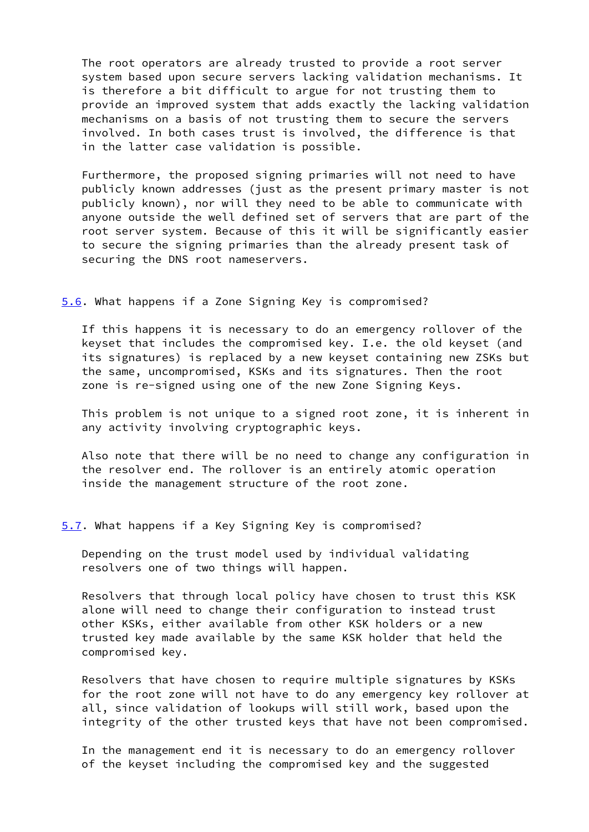The root operators are already trusted to provide a root server system based upon secure servers lacking validation mechanisms. It is therefore a bit difficult to argue for not trusting them to provide an improved system that adds exactly the lacking validation mechanisms on a basis of not trusting them to secure the servers involved. In both cases trust is involved, the difference is that in the latter case validation is possible.

 Furthermore, the proposed signing primaries will not need to have publicly known addresses (just as the present primary master is not publicly known), nor will they need to be able to communicate with anyone outside the well defined set of servers that are part of the root server system. Because of this it will be significantly easier to secure the signing primaries than the already present task of securing the DNS root nameservers.

<span id="page-11-0"></span>[5.6](#page-11-0). What happens if a Zone Signing Key is compromised?

 If this happens it is necessary to do an emergency rollover of the keyset that includes the compromised key. I.e. the old keyset (and its signatures) is replaced by a new keyset containing new ZSKs but the same, uncompromised, KSKs and its signatures. Then the root zone is re-signed using one of the new Zone Signing Keys.

 This problem is not unique to a signed root zone, it is inherent in any activity involving cryptographic keys.

 Also note that there will be no need to change any configuration in the resolver end. The rollover is an entirely atomic operation inside the management structure of the root zone.

<span id="page-11-1"></span>[5.7](#page-11-1). What happens if a Key Signing Key is compromised?

 Depending on the trust model used by individual validating resolvers one of two things will happen.

 Resolvers that through local policy have chosen to trust this KSK alone will need to change their configuration to instead trust other KSKs, either available from other KSK holders or a new trusted key made available by the same KSK holder that held the compromised key.

 Resolvers that have chosen to require multiple signatures by KSKs for the root zone will not have to do any emergency key rollover at all, since validation of lookups will still work, based upon the integrity of the other trusted keys that have not been compromised.

 In the management end it is necessary to do an emergency rollover of the keyset including the compromised key and the suggested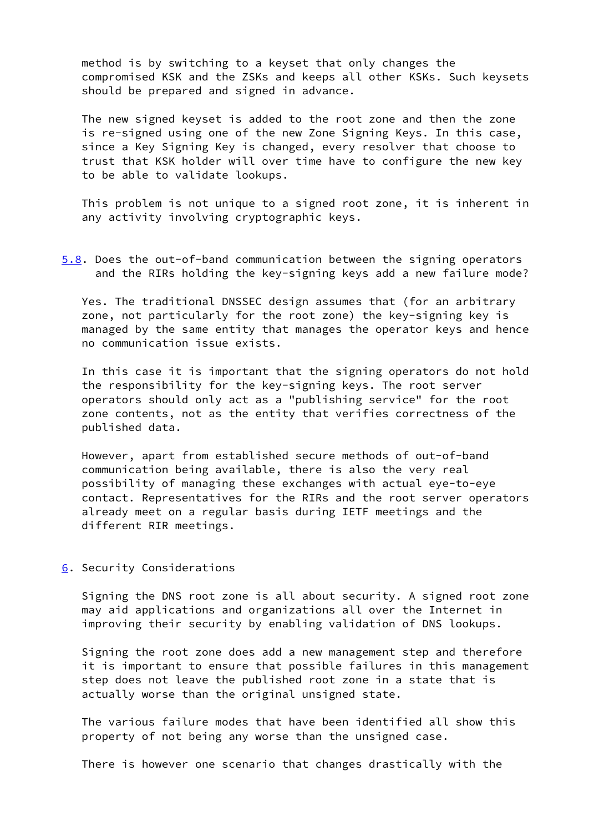method is by switching to a keyset that only changes the compromised KSK and the ZSKs and keeps all other KSKs. Such keysets should be prepared and signed in advance.

 The new signed keyset is added to the root zone and then the zone is re-signed using one of the new Zone Signing Keys. In this case, since a Key Signing Key is changed, every resolver that choose to trust that KSK holder will over time have to configure the new key to be able to validate lookups.

 This problem is not unique to a signed root zone, it is inherent in any activity involving cryptographic keys.

<span id="page-12-0"></span>[5.8](#page-12-0). Does the out-of-band communication between the signing operators and the RIRs holding the key-signing keys add a new failure mode?

 Yes. The traditional DNSSEC design assumes that (for an arbitrary zone, not particularly for the root zone) the key-signing key is managed by the same entity that manages the operator keys and hence no communication issue exists.

 In this case it is important that the signing operators do not hold the responsibility for the key-signing keys. The root server operators should only act as a "publishing service" for the root zone contents, not as the entity that verifies correctness of the published data.

 However, apart from established secure methods of out-of-band communication being available, there is also the very real possibility of managing these exchanges with actual eye-to-eye contact. Representatives for the RIRs and the root server operators already meet on a regular basis during IETF meetings and the different RIR meetings.

#### <span id="page-12-1"></span>[6](#page-12-1). Security Considerations

 Signing the DNS root zone is all about security. A signed root zone may aid applications and organizations all over the Internet in improving their security by enabling validation of DNS lookups.

 Signing the root zone does add a new management step and therefore it is important to ensure that possible failures in this management step does not leave the published root zone in a state that is actually worse than the original unsigned state.

 The various failure modes that have been identified all show this property of not being any worse than the unsigned case.

There is however one scenario that changes drastically with the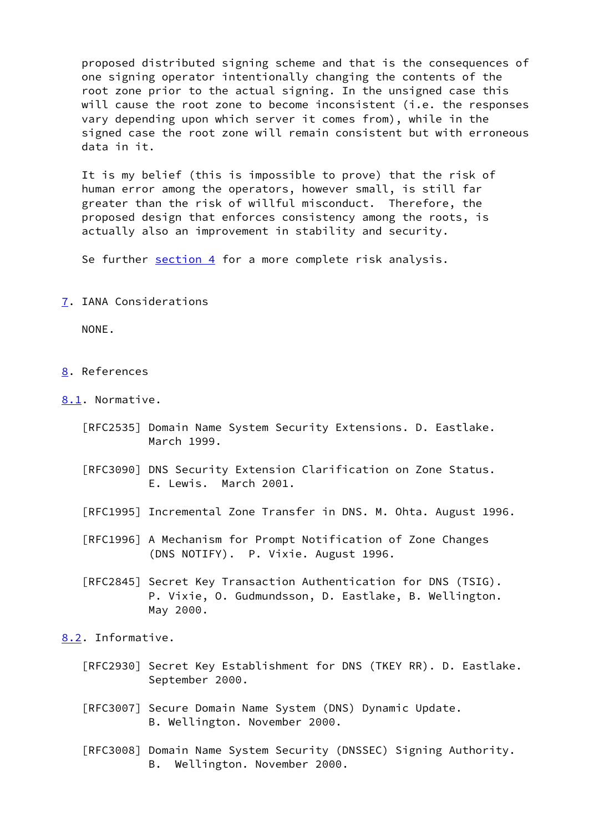proposed distributed signing scheme and that is the consequences of one signing operator intentionally changing the contents of the root zone prior to the actual signing. In the unsigned case this will cause the root zone to become inconsistent (i.e. the responses vary depending upon which server it comes from), while in the signed case the root zone will remain consistent but with erroneous data in it.

 It is my belief (this is impossible to prove) that the risk of human error among the operators, however small, is still far greater than the risk of willful misconduct. Therefore, the proposed design that enforces consistency among the roots, is actually also an improvement in stability and security.

Se further [section 4](#page-3-0) for a more complete risk analysis.

<span id="page-13-0"></span>[7](#page-13-0). IANA Considerations

NONE.

- <span id="page-13-1"></span>[8](#page-13-1). References
- <span id="page-13-2"></span>[8.1](#page-13-2). Normative.
	- [RFC2535] Domain Name System Security Extensions. D. Eastlake. March 1999.
	- [RFC3090] DNS Security Extension Clarification on Zone Status. E. Lewis. March 2001.
	- [RFC1995] Incremental Zone Transfer in DNS. M. Ohta. August 1996.
	- [RFC1996] A Mechanism for Prompt Notification of Zone Changes (DNS NOTIFY). P. Vixie. August 1996.
	- [RFC2845] Secret Key Transaction Authentication for DNS (TSIG). P. Vixie, O. Gudmundsson, D. Eastlake, B. Wellington. May 2000.

<span id="page-13-3"></span>[8.2](#page-13-3). Informative.

- [RFC2930] Secret Key Establishment for DNS (TKEY RR). D. Eastlake. September 2000.
- [RFC3007] Secure Domain Name System (DNS) Dynamic Update. B. Wellington. November 2000.
- [RFC3008] Domain Name System Security (DNSSEC) Signing Authority. B. Wellington. November 2000.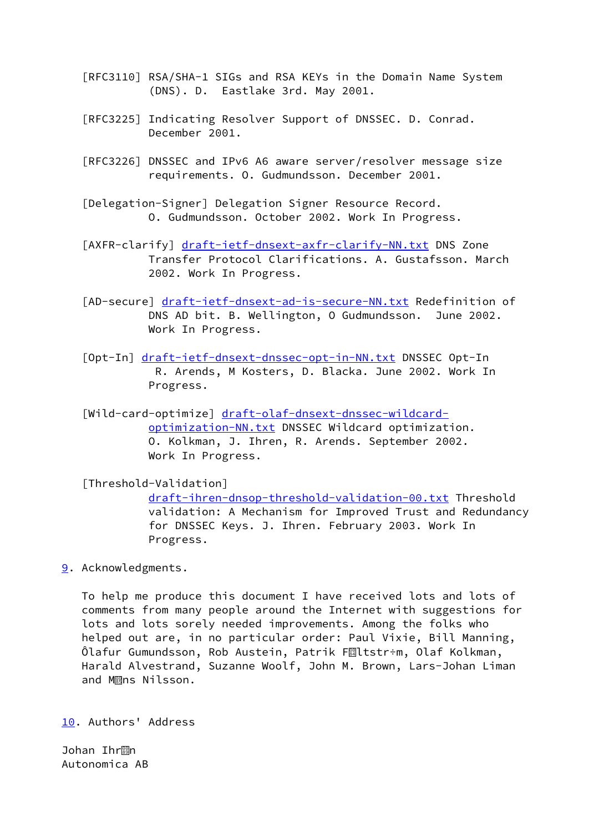- [RFC3110] RSA/SHA-1 SIGs and RSA KEYs in the Domain Name System (DNS). D. Eastlake 3rd. May 2001.
- [RFC3225] Indicating Resolver Support of DNSSEC. D. Conrad. December 2001.
- [RFC3226] DNSSEC and IPv6 A6 aware server/resolver message size requirements. O. Gudmundsson. December 2001.
- [Delegation-Signer] Delegation Signer Resource Record. O. Gudmundsson. October 2002. Work In Progress.
- [AXFR-clarify] [draft-ietf-dnsext-axfr-clarify-NN.txt](https://datatracker.ietf.org/doc/pdf/draft-ietf-dnsext-axfr-clarify-NN.txt) DNS Zone Transfer Protocol Clarifications. A. Gustafsson. March 2002. Work In Progress.
- [AD-secure] [draft-ietf-dnsext-ad-is-secure-NN.txt](https://datatracker.ietf.org/doc/pdf/draft-ietf-dnsext-ad-is-secure-NN.txt) Redefinition of DNS AD bit. B. Wellington, O Gudmundsson. June 2002. Work In Progress.
- [Opt-In] [draft-ietf-dnsext-dnssec-opt-in-NN.txt](https://datatracker.ietf.org/doc/pdf/draft-ietf-dnsext-dnssec-opt-in-NN.txt) DNSSEC Opt-In R. Arends, M Kosters, D. Blacka. June 2002. Work In Progress.
- [Wild-card-optimize] [draft-olaf-dnsext-dnssec-wildcard](https://datatracker.ietf.org/doc/pdf/draft-olaf-dnsext-dnssec-wildcard-optimization-NN.txt) [optimization-NN.txt](https://datatracker.ietf.org/doc/pdf/draft-olaf-dnsext-dnssec-wildcard-optimization-NN.txt) DNSSEC Wildcard optimization. O. Kolkman, J. Ihren, R. Arends. September 2002. Work In Progress.

<span id="page-14-0"></span> [Threshold-Validation] [draft-ihren-dnsop-threshold-validation-00.txt](https://datatracker.ietf.org/doc/pdf/draft-ihren-dnsop-threshold-validation-00.txt) Threshold validation: A Mechanism for Improved Trust and Redundancy for DNSSEC Keys. J. Ihren. February 2003. Work In Progress.

<span id="page-14-1"></span>[9](#page-14-1). Acknowledgments.

 To help me produce this document I have received lots and lots of comments from many people around the Internet with suggestions for lots and lots sorely needed improvements. Among the folks who helped out are, in no particular order: Paul Vixie, Bill Manning, Olafur Gumundsson, Rob Austein, Patrik FMItstr÷m, Olaf Kolkman, Harald Alvestrand, Suzanne Woolf, John M. Brown, Lars-Johan Liman and M**ans Nilsson.** 

<span id="page-14-2"></span>[10.](#page-14-2) Authors' Address

Johan Ihr**M**n Autonomica AB